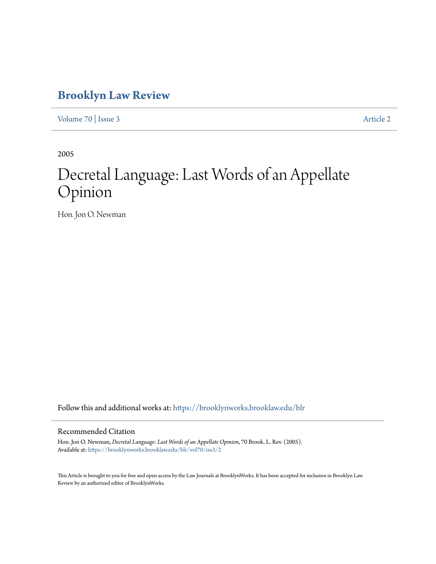# **[Brooklyn Law Review](https://brooklynworks.brooklaw.edu/blr?utm_source=brooklynworks.brooklaw.edu%2Fblr%2Fvol70%2Fiss3%2F2&utm_medium=PDF&utm_campaign=PDFCoverPages)**

[Volume 70](https://brooklynworks.brooklaw.edu/blr/vol70?utm_source=brooklynworks.brooklaw.edu%2Fblr%2Fvol70%2Fiss3%2F2&utm_medium=PDF&utm_campaign=PDFCoverPages) | [Issue 3](https://brooklynworks.brooklaw.edu/blr/vol70/iss3?utm_source=brooklynworks.brooklaw.edu%2Fblr%2Fvol70%2Fiss3%2F2&utm_medium=PDF&utm_campaign=PDFCoverPages) [Article 2](https://brooklynworks.brooklaw.edu/blr/vol70/iss3/2?utm_source=brooklynworks.brooklaw.edu%2Fblr%2Fvol70%2Fiss3%2F2&utm_medium=PDF&utm_campaign=PDFCoverPages)

2005

# Decretal Language: Last Words of an Appellate Opinion

Hon. Jon O. Newman

Follow this and additional works at: [https://brooklynworks.brooklaw.edu/blr](https://brooklynworks.brooklaw.edu/blr?utm_source=brooklynworks.brooklaw.edu%2Fblr%2Fvol70%2Fiss3%2F2&utm_medium=PDF&utm_campaign=PDFCoverPages)

## Recommended Citation

Hon. Jon O. Newman, *Decretal Language: Last Words of an Appellate Opinion*, 70 Brook. L. Rev. (2005). Available at: [https://brooklynworks.brooklaw.edu/blr/vol70/iss3/2](https://brooklynworks.brooklaw.edu/blr/vol70/iss3/2?utm_source=brooklynworks.brooklaw.edu%2Fblr%2Fvol70%2Fiss3%2F2&utm_medium=PDF&utm_campaign=PDFCoverPages)

This Article is brought to you for free and open access by the Law Journals at BrooklynWorks. It has been accepted for inclusion in Brooklyn Law Review by an authorized editor of BrooklynWorks.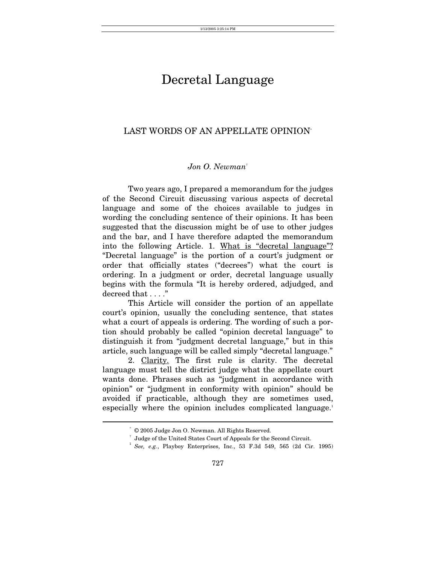# Decretal Language

# LAST WORDS OF AN APPELLATE OPINION[\\*](#page-1-0)

## *Jon O. Newman*[†](#page-1-1)

Two years ago, I prepared a memorandum for the judges of the Second Circuit discussing various aspects of decretal language and some of the choices available to judges in wording the concluding sentence of their opinions. It has been suggested that the discussion might be of use to other judges and the bar, and I have therefore adapted the memorandum into the following Article. 1. What is "decretal language"? "Decretal language" is the portion of a court's judgment or order that officially states ("decrees") what the court is ordering. In a judgment or order, decretal language usually begins with the formula "It is hereby ordered, adjudged, and decreed that . . . ."

This Article will consider the portion of an appellate court's opinion, usually the concluding sentence, that states what a court of appeals is ordering. The wording of such a portion should probably be called "opinion decretal language" to distinguish it from "judgment decretal language," but in this article, such language will be called simply "decretal language."

2. Clarity. The first rule is clarity. The decretal language must tell the district judge what the appellate court wants done. Phrases such as "judgment in accordance with opinion" or "judgment in conformity with opinion" should be avoided if practicable, although they are sometimes used, especially where the opinion includes complicated language.<sup>[1](#page-1-2)</sup>

<span id="page-1-0"></span><sup>\* © 2005</sup> Judge Jon O. Newman. All Rights Reserved. † Judge of the United States Court of Appeals for the Second Circuit.

<span id="page-1-1"></span>

<span id="page-1-2"></span><sup>1</sup>  *See, e.g.*, Playboy Enterprises, Inc., 53 F.3d 549, 565 (2d Cir. 1995)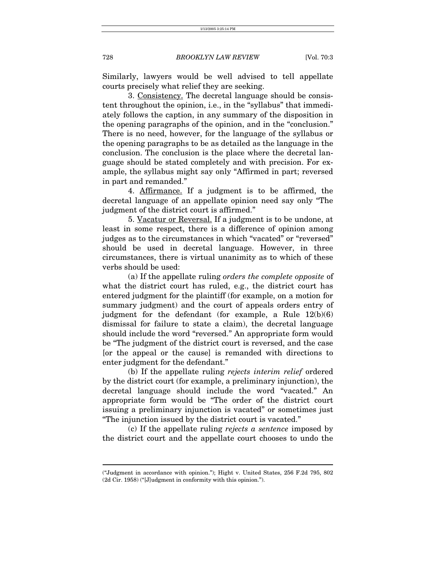Similarly, lawyers would be well advised to tell appellate courts precisely what relief they are seeking.

3. Consistency. The decretal language should be consistent throughout the opinion, i.e., in the "syllabus" that immediately follows the caption, in any summary of the disposition in the opening paragraphs of the opinion, and in the "conclusion." There is no need, however, for the language of the syllabus or the opening paragraphs to be as detailed as the language in the conclusion. The conclusion is the place where the decretal language should be stated completely and with precision. For example, the syllabus might say only "Affirmed in part; reversed in part and remanded."

4. Affirmance. If a judgment is to be affirmed, the decretal language of an appellate opinion need say only "The judgment of the district court is affirmed."

5. Vacatur or Reversal. If a judgment is to be undone, at least in some respect, there is a difference of opinion among judges as to the circumstances in which "vacated" or "reversed" should be used in decretal language. However, in three circumstances, there is virtual unanimity as to which of these verbs should be used:

(a) If the appellate ruling *orders the complete opposite* of what the district court has ruled, e.g., the district court has entered judgment for the plaintiff (for example, on a motion for summary judgment) and the court of appeals orders entry of judgment for the defendant (for example, a Rule 12(b)(6) dismissal for failure to state a claim), the decretal language should include the word "reversed." An appropriate form would be "The judgment of the district court is reversed, and the case [or the appeal or the cause] is remanded with directions to enter judgment for the defendant."

(b) If the appellate ruling *rejects interim relief* ordered by the district court (for example, a preliminary injunction), the decretal language should include the word "vacated." An appropriate form would be "The order of the district court issuing a preliminary injunction is vacated" or sometimes just "The injunction issued by the district court is vacated."

(c) If the appellate ruling *rejects a sentence* imposed by the district court and the appellate court chooses to undo the

<sup>(&</sup>quot;Judgment in accordance with opinion."); Hight v. United States, 256 F.2d 795, 802 (2d Cir. 1958) ("[J]udgment in conformity with this opinion.").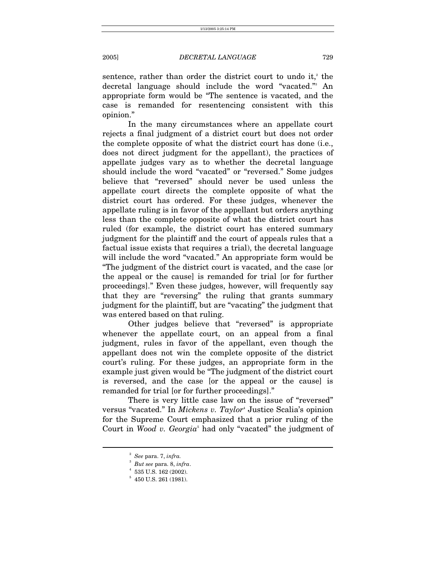sentence, rather than order the district court to undo it, $e^i$  the decretal language should include the word "vacated."3 An appropriate form would be "The sentence is vacated, and the case is remanded for resentencing consistent with this opinion."

In the many circumstances where an appellate court rejects a final judgment of a district court but does not order the complete opposite of what the district court has done (i.e., does not direct judgment for the appellant), the practices of appellate judges vary as to whether the decretal language should include the word "vacated" or "reversed." Some judges believe that "reversed" should never be used unless the appellate court directs the complete opposite of what the district court has ordered. For these judges, whenever the appellate ruling is in favor of the appellant but orders anything less than the complete opposite of what the district court has ruled (for example, the district court has entered summary judgment for the plaintiff and the court of appeals rules that a factual issue exists that requires a trial), the decretal language will include the word "vacated." An appropriate form would be "The judgment of the district court is vacated, and the case [or the appeal or the cause] is remanded for trial [or for further proceedings]." Even these judges, however, will frequently say that they are "reversing" the ruling that grants summary judgment for the plaintiff, but are "vacating" the judgment that was entered based on that ruling.

Other judges believe that "reversed" is appropriate whenever the appellate court, on an appeal from a final judgment, rules in favor of the appellant, even though the appellant does not win the complete opposite of the district court's ruling. For these judges, an appropriate form in the example just given would be "The judgment of the district court is reversed, and the case [or the appeal or the cause] is remanded for trial [or for further proceedings]."

There is very little case law on the issue of "reversed" versus "vacated." In *Mickens v. Taylor*<sup>4</sup> Justice Scalia's opinion for the Supreme Court emphasized that a prior ruling of the Court in *Wood v. Georgia*<sup>[5](#page-3-3)</sup> had only "vacated" the judgment of

<span id="page-3-0"></span><sup>2</sup>  *See* para. 7, *infra.*

<span id="page-3-1"></span> $^{3}$  *But see para. 8, infra.*  $^{4}$  525 H S, 169 (9009)

<span id="page-3-2"></span> $^4\,$  535 U.S. 162 (2002).

<span id="page-3-3"></span> $5$  450 U.S. 261 (1981).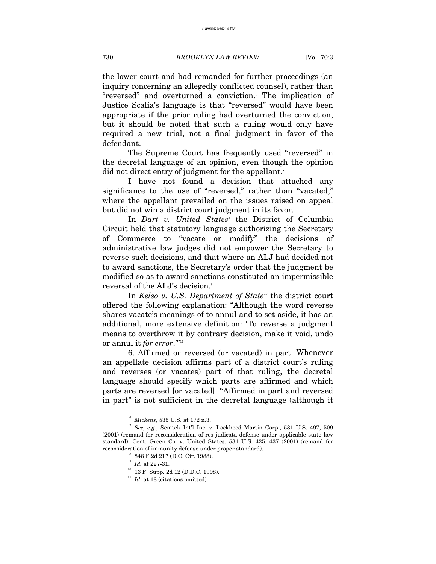the lower court and had remanded for further proceedings (an inquiry concerning an allegedly conflicted counsel), rather than "reversed" and overturned a conviction. The implication of Justice Scalia's language is that "reversed" would have been appropriate if the prior ruling had overturned the conviction, but it should be noted that such a ruling would only have required a new trial, not a final judgment in favor of the defendant.

The Supreme Court has frequently used "reversed" in the decretal language of an opinion, even though the opinion did not direct entry of judgment for the appellant.<sup>7</sup>

I have not found a decision that attached any significance to the use of "reversed," rather than "vacated," where the appellant prevailed on the issues raised on appeal but did not win a district court judgment in its favor.

In *Dart v. United States*<sup>®</sup> the District of Columbia Circuit held that statutory language authorizing the Secretary of Commerce to "vacate or modify" the decisions of administrative law judges did not empower the Secretary to reverse such decisions, and that where an ALJ had decided not to award sanctions, the Secretary's order that the judgment be modified so as to award sanctions constituted an impermissible reversalof the ALJ's decision. $^{\circ}$ 

In *Kelso v. U.S. Department of State*<sup>10</sup> the district court offered the following explanation: "Although the word reverse shares vacate's meanings of to annul and to set aside, it has an additional, more extensive definition: 'To reverse a judgment means to overthrow it by contrary decision, make it void, undo or annul it *for error*."<sup>"[11](#page-4-5)</sup>

6. Affirmed or reversed (or vacated) in part. Whenever an appellate decision affirms part of a district court's ruling and reverses (or vacates) part of that ruling, the decretal language should specify which parts are affirmed and which parts are reversed [or vacated]. "Affirmed in part and reversed in part" is not sufficient in the decretal language (although it  $\overline{a}$ 

<span id="page-4-1"></span><span id="page-4-0"></span><sup>6</sup>  $\frac{6}{7}$  *Mickens*, 535 U.S. at 172 n.3.

*See, e.g.*, Semtek Int'l Inc. v. Lockheed Martin Corp., 531 U.S. 497, 509 (2001) (remand for reconsideration of res judicata defense under applicable state law standard); Cent. Green Co. v. United States, 531 U.S. 425, 437 (2001) (remand for reconsideration of immunity defense under proper standard).

<span id="page-4-2"></span> <sup>848</sup> F.2d 217 (D.C. Cir. 1988).

<span id="page-4-3"></span> $^{\circ}$   $Id.$  at 227-31.

<span id="page-4-4"></span><sup>&</sup>lt;sup>10</sup> 13 F. Supp. 2d 12 (D.D.C. 1998).

<span id="page-4-5"></span> $11$   $\,$  Id. at 18 (citations omitted).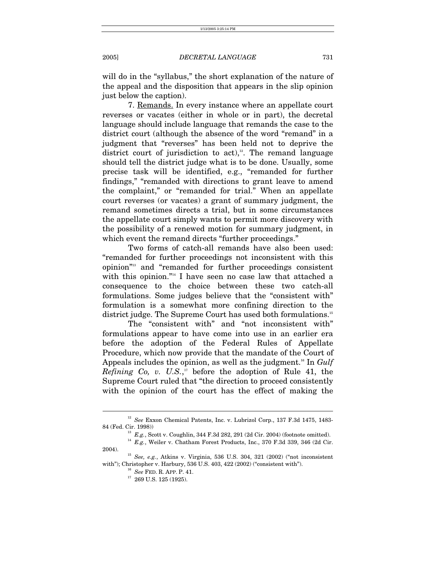will do in the "syllabus," the short explanation of the nature of the appeal and the disposition that appears in the slip opinion just below the caption).

7. Remands. In every instance where an appellate court reverses or vacates (either in whole or in part), the decretal language should include language that remands the case to the district court (although the absence of the word "remand" in a judgment that "reverses" has been held not to deprive the district court of jurisdiction to  $act$ <sup>12</sup>. The remand language should tell the district judge what is to be done. Usually, some precise task will be identified, e.g., "remanded for further findings," "remanded with directions to grant leave to amend the complaint," or "remanded for trial." When an appellate court reverses (or vacates) a grant of summary judgment, the remand sometimes directs a trial, but in some circumstances the appellate court simply wants to permit more discovery with the possibility of a renewed motion for summary judgment, in which event the remand directs "further proceedings."

Two forms of catch-all remands have also been used: "remanded for further proceedings not inconsistent with this opinion["13](#page-5-1) and "remanded for further proceedings consistent with this opinion."<sup>14</sup> I have seen no case law that attached a consequence to the choice between these two catch-all formulations. Some judges believe that the "consistent with" formulation is a somewhat more confining direction to the district judge. The Supreme Court has used both formulations.<sup>[15](#page-5-3)</sup>

The "consistent with" and "not inconsistent with" formulations appear to have come into use in an earlier era before the adoption of the Federal Rules of Appellate Procedure, which now provide that the mandate of the Court of Appeals includes the opinion, as well as the judgment.<sup>16</sup> In *Gulf Refining Co, v. U.S.*, [17](#page-5-5) before the adoption of Rule 41, the Supreme Court ruled that "the direction to proceed consistently with the opinion of the court has the effect of making the

 $^{12}$   $See$  Exxon Chemical Patents, Inc. v. Lubrizol Corp., 137 F.3d 1475, 1483-84 (Fed. Cir. 1998))

<span id="page-5-2"></span><span id="page-5-1"></span><span id="page-5-0"></span> $^{13}$   $E.g.,$  Scott v. Coughlin, 344 F.3d 282, 291 (2d Cir. 2004) (footnote omitted).  $^{14}$   $E.g.,$  Weiler v. Chatham Forest Products, Inc., 370 F.3d 339, 346 (2d Cir.

<sup>2004). 15</sup> *See, e.g.*, Atkins v. Virginia, 536 U.S. 304, 321 (2002) ("not inconsistent

with"); Christopher v. Harbury, 536 U.S. 403, 422 (2002) ("consistent with"). 16 *See* FED. R. APP. P. 41. 17 269 U.S. 125 (1925).

<span id="page-5-4"></span><span id="page-5-3"></span>

<span id="page-5-5"></span>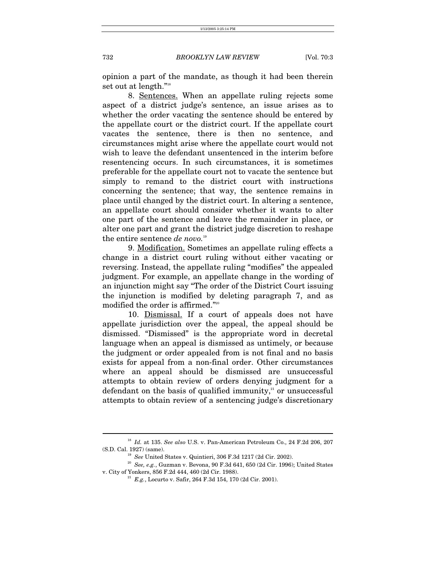opinion a part of the mandate, as though it had been therein set out at length."[18](#page-6-0)

8. Sentences. When an appellate ruling rejects some aspect of a district judge's sentence, an issue arises as to whether the order vacating the sentence should be entered by the appellate court or the district court. If the appellate court vacates the sentence, there is then no sentence, and circumstances might arise where the appellate court would not wish to leave the defendant unsentenced in the interim before resentencing occurs. In such circumstances, it is sometimes preferable for the appellate court not to vacate the sentence but simply to remand to the district court with instructions concerning the sentence; that way, the sentence remains in place until changed by the district court. In altering a sentence, an appellate court should consider whether it wants to alter one part of the sentence and leave the remainder in place, or alter one part and grant the district judge discretion to reshape the entire sentence *de novo.*<sup>19</sup> 

9. Modification. Sometimes an appellate ruling effects a change in a district court ruling without either vacating or reversing. Instead, the appellate ruling "modifies" the appealed judgment. For example, an appellate change in the wording of an injunction might say "The order of the District Court issuing the injunction is modified by deleting paragraph 7, and as modified the order is affirmed.["20](#page-6-2)

10. Dismissal. If a court of appeals does not have appellate jurisdiction over the appeal, the appeal should be dismissed. "Dismissed" is the appropriate word in decretal language when an appeal is dismissed as untimely, or because the judgment or order appealed from is not final and no basis exists for appeal from a non-final order. Other circumstances where an appeal should be dismissed are unsuccessful attempts to obtain review of orders denying judgment for a defendant on the basis of qualified immunity, $21$  or unsuccessful attempts to obtain review of a sentencing judge's discretionary

<sup>18</sup> *Id.* at 135. *See also* U.S. v. Pan-American Petroleum Co., 24 F.2d 206, 207

<span id="page-6-2"></span><span id="page-6-1"></span><span id="page-6-0"></span>

<sup>(</sup>S.D. Cal. 1927) (same). 19 *See* United States v. Quintieri, 306 F.3d 1217 (2d Cir. 2002). 20 *See, e.g.*, Guzman v. Bevona, 90 F.3d 641, 650 (2d Cir. 1996); United States v. City of Yonkers, 856 F.2d 444, 460 (2d Cir. 1988). 21 *E.g.*, Locurto v. Safir, 264 F.3d 154, 170 (2d Cir. 2001).

<span id="page-6-3"></span>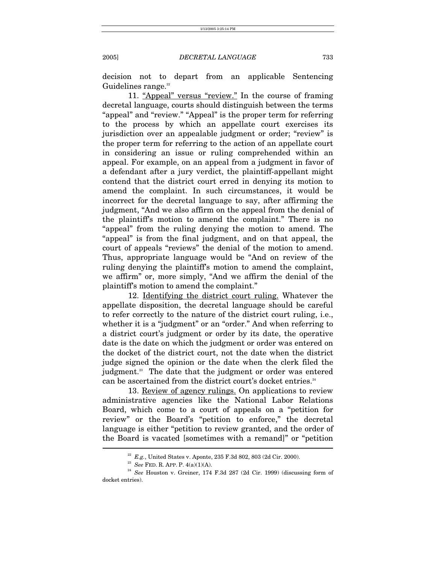decision not to depart from an applicable Sentencing Guidelines range.<sup>22</sup>

11. "Appeal" versus "review." In the course of framing decretal language, courts should distinguish between the terms "appeal" and "review." "Appeal" is the proper term for referring to the process by which an appellate court exercises its jurisdiction over an appealable judgment or order; "review" is the proper term for referring to the action of an appellate court in considering an issue or ruling comprehended within an appeal. For example, on an appeal from a judgment in favor of a defendant after a jury verdict, the plaintiff-appellant might contend that the district court erred in denying its motion to amend the complaint. In such circumstances, it would be incorrect for the decretal language to say, after affirming the judgment, "And we also affirm on the appeal from the denial of the plaintiff's motion to amend the complaint." There is no "appeal" from the ruling denying the motion to amend. The "appeal" is from the final judgment, and on that appeal, the court of appeals "reviews" the denial of the motion to amend. Thus, appropriate language would be "And on review of the ruling denying the plaintiff's motion to amend the complaint, we affirm" or, more simply, "And we affirm the denial of the plaintiff's motion to amend the complaint."

12. Identifying the district court ruling. Whatever the appellate disposition, the decretal language should be careful to refer correctly to the nature of the district court ruling, i.e., whether it is a "judgment" or an "order." And when referring to a district court's judgment or order by its date, the operative date is the date on which the judgment or order was entered on the docket of the district court, not the date when the district judge signed the opinion or the date when the clerk filed the judgment.<sup>23</sup> The date that the judgment or order was entered can be ascertained from the district court's docket entries.<sup>[24](#page-7-2)</sup>

13. Review of agency rulings. On applications to review administrative agencies like the National Labor Relations Board, which come to a court of appeals on a "petition for review" or the Board's "petition to enforce," the decretal language is either "petition to review granted, and the order of the Board is vacated [sometimes with a remand]" or "petition l

<span id="page-7-0"></span>

<span id="page-7-2"></span><span id="page-7-1"></span>

<sup>&</sup>lt;sup>22</sup> *E.g.*, United States v. Aponte, 235 F.3d 802, 803 (2d Cir. 2000).<br><sup>23</sup> *See* FED. R. APP. P. 4(a)(1)(A).<br><sup>24</sup> *See* Houston v. Greiner, 174 F.3d 287 (2d Cir. 1999) (discussing form of docket entries).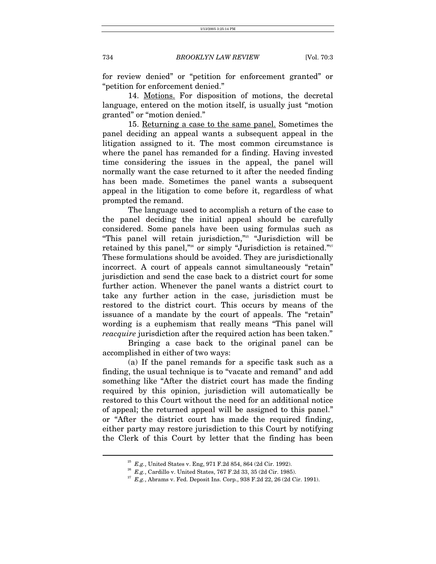for review denied" or "petition for enforcement granted" or "petition for enforcement denied."

14. Motions. For disposition of motions, the decretal language, entered on the motion itself, is usually just "motion granted" or "motion denied."

15. Returning a case to the same panel. Sometimes the panel deciding an appeal wants a subsequent appeal in the litigation assigned to it. The most common circumstance is where the panel has remanded for a finding. Having invested time considering the issues in the appeal, the panel will normally want the case returned to it after the needed finding has been made. Sometimes the panel wants a subsequent appeal in the litigation to come before it, regardless of what prompted the remand.

The language used to accomplish a return of the case to the panel deciding the initial appeal should be carefully considered. Some panels have been using formulas such as "This panel will retain jurisdiction,"[25](#page-8-0) "Jurisdiction will be retained by this panel,"<sup>26</sup> or simply "Jurisdiction is retained."<sup>27</sup> These formulations should be avoided. They are jurisdictionally incorrect. A court of appeals cannot simultaneously "retain" jurisdiction and send the case back to a district court for some further action. Whenever the panel wants a district court to take any further action in the case, jurisdiction must be restored to the district court. This occurs by means of the issuance of a mandate by the court of appeals. The "retain" wording is a euphemism that really means "This panel will *reacquire* jurisdiction after the required action has been taken."

Bringing a case back to the original panel can be accomplished in either of two ways:

(a) If the panel remands for a specific task such as a finding, the usual technique is to "vacate and remand" and add something like "After the district court has made the finding required by this opinion, jurisdiction will automatically be restored to this Court without the need for an additional notice of appeal; the returned appeal will be assigned to this panel." or "After the district court has made the required finding, either party may restore jurisdiction to this Court by notifying the Clerk of this Court by letter that the finding has been

<span id="page-8-2"></span><span id="page-8-1"></span>

<span id="page-8-0"></span><sup>&</sup>lt;sup>25</sup>  $E.g.,$  United States v. Eng, 971 F.2d 854, 864 (2d Cir. 1992).<br><sup>26</sup>  $E.g.,$  Cardillo v. United States, 767 F.2d 33, 35 (2d Cir. 1985).<br><sup>27</sup>  $E.g.,$  Abrams v. Fed. Deposit Ins. Corp., 938 F.2d 22, 26 (2d Cir. 1991).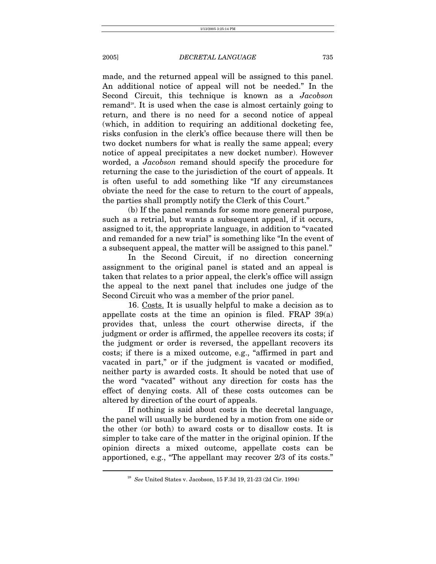made, and the returned appeal will be assigned to this panel. An additional notice of appeal will not be needed." In the Second Circuit, this technique is known as a *Jacobson* remand<sup>28</sup>. It is used when the case is almost certainly going to return, and there is no need for a second notice of appeal (which, in addition to requiring an additional docketing fee, risks confusion in the clerk's office because there will then be two docket numbers for what is really the same appeal; every notice of appeal precipitates a new docket number). However worded, a *Jacobson* remand should specify the procedure for returning the case to the jurisdiction of the court of appeals. It is often useful to add something like "If any circumstances obviate the need for the case to return to the court of appeals, the parties shall promptly notify the Clerk of this Court."

(b) If the panel remands for some more general purpose, such as a retrial, but wants a subsequent appeal, if it occurs, assigned to it, the appropriate language, in addition to "vacated and remanded for a new trial" is something like "In the event of a subsequent appeal, the matter will be assigned to this panel."

In the Second Circuit, if no direction concerning assignment to the original panel is stated and an appeal is taken that relates to a prior appeal, the clerk's office will assign the appeal to the next panel that includes one judge of the Second Circuit who was a member of the prior panel.

16. Costs. It is usually helpful to make a decision as to appellate costs at the time an opinion is filed. FRAP 39(a) provides that, unless the court otherwise directs, if the judgment or order is affirmed, the appellee recovers its costs; if the judgment or order is reversed, the appellant recovers its costs; if there is a mixed outcome, e.g., "affirmed in part and vacated in part," or if the judgment is vacated or modified, neither party is awarded costs. It should be noted that use of the word "vacated" without any direction for costs has the effect of denying costs. All of these costs outcomes can be altered by direction of the court of appeals.

If nothing is said about costs in the decretal language, the panel will usually be burdened by a motion from one side or the other (or both) to award costs or to disallow costs. It is simpler to take care of the matter in the original opinion. If the opinion directs a mixed outcome, appellate costs can be apportioned, e.g., "The appellant may recover 2/3 of its costs."

<span id="page-9-0"></span><sup>28</sup> *See* United States v. Jacobson, 15 F.3d 19, 21-23 (2d Cir. 1994)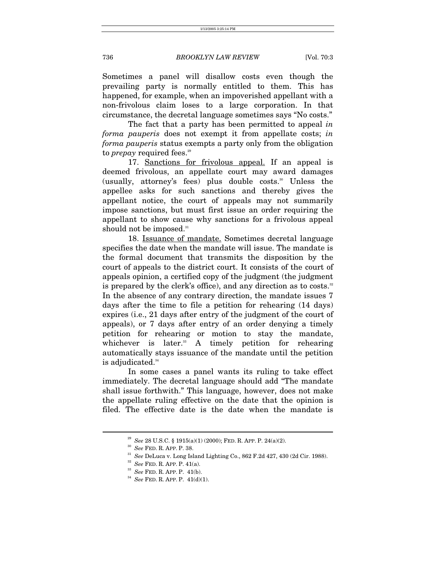Sometimes a panel will disallow costs even though the prevailing party is normally entitled to them. This has happened, for example, when an impoverished appellant with a non-frivolous claim loses to a large corporation. In that circumstance, the decretal language sometimes says "No costs."

The fact that a party has been permitted to appeal *in forma pauperis* does not exempt it from appellate costs; *in forma pauperis* status exempts a party only from the obligation to *prepay* required fees.<sup>[29](#page-10-0)</sup>

17. Sanctions for frivolous appeal. If an appeal is deemed frivolous, an appellate court may award damages (usually, attorney's fees) plus double costs.<sup>30</sup> Unless the appellee asks for such sanctions and thereby gives the appellant notice, the court of appeals may not summarily impose sanctions, but must first issue an order requiring the appellant to show cause why sanctions for a frivolous appeal should not be imposed. $31$ 

18. Issuance of mandate. Sometimes decretal language specifies the date when the mandate will issue. The mandate is the formal document that transmits the disposition by the court of appeals to the district court. It consists of the court of appeals opinion, a certified copy of the judgment (the judgment is prepared by the clerk's office), and any direction as to costs. $32$ In the absence of any contrary direction, the mandate issues 7 days after the time to file a petition for rehearing (14 days) expires (i.e., 21 days after entry of the judgment of the court of appeals), or 7 days after entry of an order denying a timely petition for rehearing or motion to stay the mandate, whichever is later. $33}$  A timely petition for rehearing automatically stays issuance of the mandate until the petition is adjudicated.<sup>[34](#page-10-5)</sup>

In some cases a panel wants its ruling to take effect immediately. The decretal language should add "The mandate shall issue forthwith." This language, however, does not make the appellate ruling effective on the date that the opinion is filed. The effective date is the date when the mandate is

<span id="page-10-2"></span><span id="page-10-1"></span>

<span id="page-10-0"></span><sup>&</sup>lt;sup>29</sup> See 28 U.S.C. § 1915(a)(1) (2000); FED. R. APP. P. 24(a)(2).<br><sup>30</sup> See FED. R. APP. P. 38.<br><sup>31</sup> See DeLuca v. Long Island Lighting Co., 862 F.2d 427, 430 (2d Cir. 1988).<br><sup>32</sup> See FED. R. APP. P. 41(a).<br><sup>33</sup> See FED. R

<span id="page-10-3"></span>

<span id="page-10-4"></span>

<span id="page-10-5"></span>